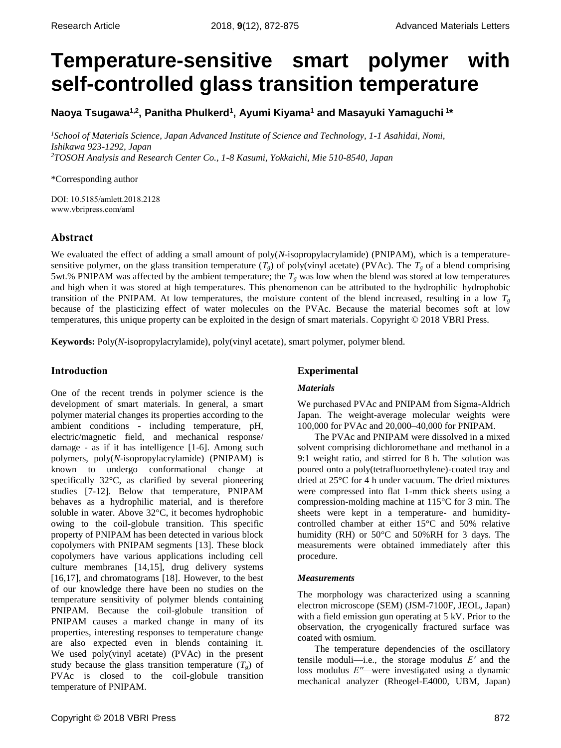# **Temperature-sensitive smart polymer with self-controlled glass transition temperature**

**Naoya Tsugawa1,2 , Panitha Phulkerd<sup>1</sup> , Ayumi Kiyama<sup>1</sup> and Masayuki Yamaguchi <sup>1</sup> \***

*<sup>1</sup>School of Materials Science, Japan Advanced Institute of Science and Technology, 1-1 Asahidai, Nomi, Ishikawa 923-1292, Japan <sup>2</sup>TOSOH Analysis and Research Center Co., 1-8 Kasumi, Yokkaichi, Mie 510-8540, Japan*

\*Corresponding author

DOI: 10.5185/amlett.2018.2128 www.vbripress.com/aml

# **Abstract**

We evaluated the effect of adding a small amount of poly(*N*-isopropylacrylamide) (PNIPAM), which is a temperaturesensitive polymer, on the glass transition temperature  $(T_g)$  of poly(vinyl acetate) (PVAc). The  $T_g$  of a blend comprising 5wt.% PNIPAM was affected by the ambient temperature; the *T<sup>g</sup>* was low when the blend was stored at low temperatures and high when it was stored at high temperatures. This phenomenon can be attributed to the hydrophilic–hydrophobic transition of the PNIPAM. At low temperatures, the moisture content of the blend increased, resulting in a low  $T_g$ because of the plasticizing effect of water molecules on the PVAc. Because the material becomes soft at low temperatures, this unique property can be exploited in the design of smart materials. Copyright © 2018 VBRI Press.

**Keywords:** Poly(*N*-isopropylacrylamide), poly(vinyl acetate), smart polymer, polymer blend.

# **Introduction**

One of the recent trends in polymer science is the development of smart materials. In general, a smart polymer material changes its properties according to the ambient conditions - including temperature, pH, electric/magnetic field, and mechanical response/ damage - as if it has intelligence [1-6]. Among such polymers, poly(*N*-isopropylacrylamide) (PNIPAM) is known to undergo conformational change at specifically 32°C, as clarified by several pioneering studies [7-12]. Below that temperature, PNIPAM behaves as a hydrophilic material, and is therefore soluble in water. Above 32°C, it becomes hydrophobic owing to the coil-globule transition. This specific property of PNIPAM has been detected in various block copolymers with PNIPAM segments [13]. These block copolymers have various applications including cell culture membranes [14,15], drug delivery systems [16,17], and chromatograms [18]. However, to the best of our knowledge there have been no studies on the temperature sensitivity of polymer blends containing PNIPAM. Because the coil-globule transition of PNIPAM causes a marked change in many of its properties, interesting responses to temperature change are also expected even in blends containing it. We used poly(vinyl acetate) (PVAc) in the present study because the glass transition temperature  $(T_g)$  of PVAc is closed to the coil-globule transition temperature of PNIPAM.

# **Experimental**

## *Materials*

We purchased PVAc and PNIPAM from Sigma-Aldrich Japan. The weight-average molecular weights were 100,000 for PVAc and 20,000–40,000 for PNIPAM.

The PVAc and PNIPAM were dissolved in a mixed solvent comprising dichloromethane and methanol in a 9:1 weight ratio, and stirred for 8 h. The solution was poured onto a poly(tetrafluoroethylene)-coated tray and dried at 25°C for 4 h under vacuum. The dried mixtures were compressed into flat 1-mm thick sheets using a compression-molding machine at 115°C for 3 min. The sheets were kept in a temperature- and humiditycontrolled chamber at either 15°C and 50% relative humidity (RH) or 50°C and 50%RH for 3 days. The measurements were obtained immediately after this procedure.

## *Measurements*

The morphology was characterized using a scanning electron microscope (SEM) (JSM-7100F, JEOL, Japan) with a field emission gun operating at 5 kV. Prior to the observation, the cryogenically fractured surface was coated with osmium.

The temperature dependencies of the oscillatory tensile moduli—i.e., the storage modulus *E′* and the loss modulus *E′′—*were investigated using a dynamic mechanical analyzer (Rheogel-E4000, UBM, Japan)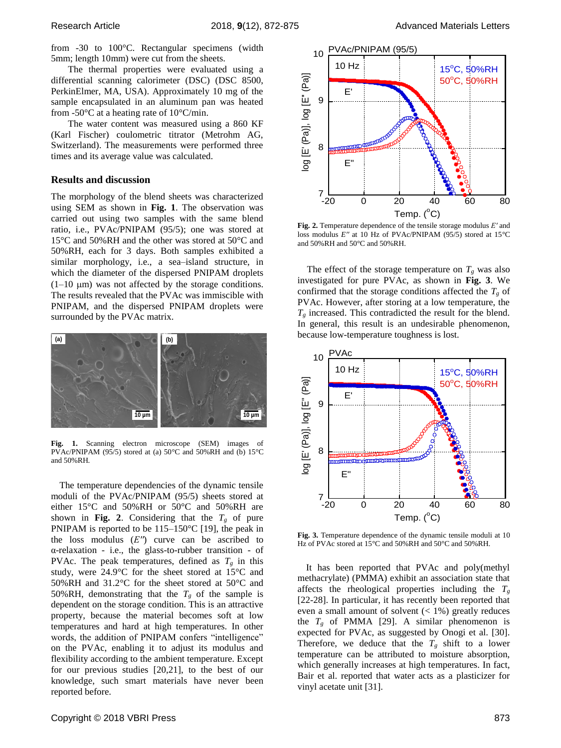from -30 to 100°C. Rectangular specimens (width 5mm; length 10mm) were cut from the sheets.

The thermal properties were evaluated using a differential scanning calorimeter (DSC) (DSC 8500, PerkinElmer, MA, USA). Approximately 10 mg of the sample encapsulated in an aluminum pan was heated from -50°C at a heating rate of 10°C/min.

The water content was measured using a 860 KF (Karl Fischer) coulometric titrator (Metrohm AG, Switzerland). The measurements were performed three times and its average value was calculated.

#### **Results and discussion**

The morphology of the blend sheets was characterized using SEM as shown in **Fig. 1**. The observation was carried out using two samples with the same blend ratio, i.e., PVAc/PNIPAM (95/5); one was stored at 15°C and 50%RH and the other was stored at 50°C and 50%RH, each for 3 days. Both samples exhibited a similar morphology, i.e., a sea–island structure, in which the diameter of the dispersed PNIPAM droplets  $(1-10 \mu m)$  was not affected by the storage conditions. The results revealed that the PVAc was immiscible with PNIPAM, and the dispersed PNIPAM droplets were surrounded by the PVAc matrix. 10 PM<br>
10 PM<br>
10 PM<br>
10 Samples with the same blend<br>
10 Fig. 1. The observation was<br>
0 samples with the same blend<br>
PAM (95/5); one was stored at<br>
10 PM (95/5); one was stored at<br>
11 Fig. 2. Temper<br>
10 PM and 50%RH and<br>
1



**Fig. 1.** Scanning electron microscope (SEM) images of PVAc/PNIPAM (95/5) stored at (a) 50°C and 50%RH and (b) 15°C and 50%RH.

The temperature dependencies of the dynamic tensile moduli of the PVAc/PNIPAM (95/5) sheets stored at either 15°C and 50%RH or 50°C and 50%RH are shown in Fig. 2. Considering that the  $T_g$  of pure PNIPAM is reported to be 115–150°C [19], the peak in the loss modulus (*E′′*) curve can be ascribed to α-relaxation - i.e., the glass-to-rubber transition - of PVAc. The peak temperatures, defined as  $T_g$  in this study, were 24.9°C for the sheet stored at 15°C and 50%RH and 31.2°C for the sheet stored at 50°C and 50%RH, demonstrating that the  $T_g$  of the sample is dependent on the storage condition. This is an attractive property, because the material becomes soft at low temperatures and hard at high temperatures. In other words, the addition of PNIPAM confers "intelligence" on the PVAc, enabling it to adjust its modulus and flexibility according to the ambient temperature. Except for our previous studies [20,21], to the best of our knowledge, such smart materials have never been reported before. **10**<br> **10**<br> **10**<br> **10**<br> **10**<br> **10**<br> **10**<br> **10**<br> **10**<br> **10**<br> **10**<br> **10**<br> **10**<br> **10**<br> **10**<br> **10**<br> **10**<br> **10**<br> **10**<br> **10**<br> **10**<br> **10**<br> **10**<br> **10**<br> **10**<br> **10**<br> **10**<br> **10**<br> **10**<br> **10**<br> **10**<br> **10**<br> **10**<br> **10**<br> **10**<br> **10**<br> **10**<br>



**Fig. 2.** Temperature dependence of the tensile storage modulus *E′* and loss modulus *E′′* at 10 Hz of PVAc/PNIPAM (95/5) stored at 15°C and 50%RH and 50°C and 50%RH.

The effect of the storage temperature on  $T_g$  was also investigated for pure PVAc, as shown in **Fig. 3**. We confirmed that the storage conditions affected the  $T_g$  of PVAc. However, after storing at a low temperature, the  $T_g$  increased. This contradicted the result for the blend. In general, this result is an undesirable phenomenon, because low-temperature toughness is lost.



**Fig. 3.** Temperature dependence of the dynamic tensile moduli at 10 Hz of PVAc stored at 15°C and 50%RH and 50°C and 50%RH.

It has been reported that PVAc and poly(methyl methacrylate) (PMMA) exhibit an association state that affects the rheological properties including the  $T_g$ [22-28]. In particular, it has recently been reported that even a small amount of solvent  $($  < 1%) greatly reduces the  $T_g$  of PMMA [29]. A similar phenomenon is expected for PVAc, as suggested by Onogi et al. [30]. Therefore, we deduce that the  $T_g$  shift to a lower temperature can be attributed to moisture absorption, which generally increases at high temperatures. In fact, Bair et al. reported that water acts as a plasticizer for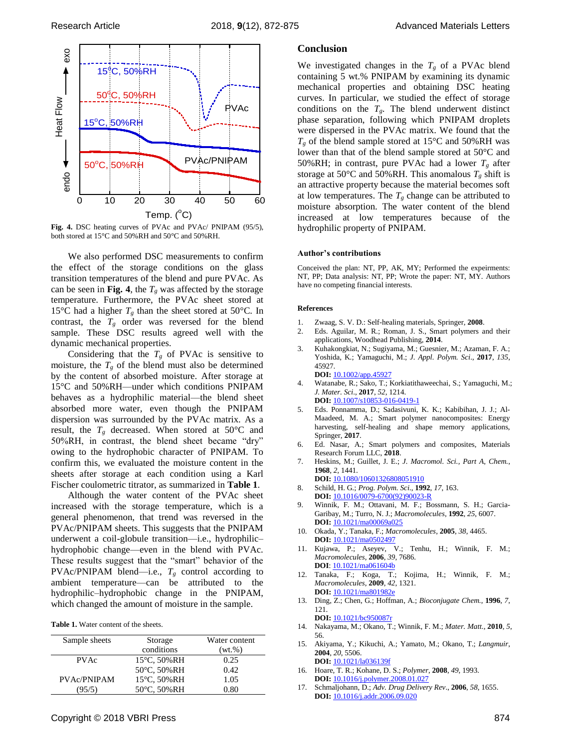

**Fig. 4.** DSC heating curves of PVAc and PVAc/ PNIPAM (95/5), both stored at 15°C and 50%RH and 50°C and 50%RH.

We also performed DSC measurements to confirm the effect of the storage conditions on the glass transition temperatures of the blend and pure PVAc. As can be seen in **Fig.** 4, the  $T_g$  was affected by the storage temperature. Furthermore, the PVAc sheet stored at 15<sup>o</sup>C had a higher  $T_g$  than the sheet stored at 50<sup>o</sup>C. In contrast, the  $T_g$  order was reversed for the blend sample. These DSC results agreed well with the dynamic mechanical properties.

Considering that the  $T_g$  of PVAc is sensitive to moisture, the  $T_g$  of the blend must also be determined by the content of absorbed moisture. After storage at 15°C and 50%RH—under which conditions PNIPAM behaves as a hydrophilic material—the blend sheet absorbed more water, even though the PNIPAM dispersion was surrounded by the PVAc matrix. As a result, the  $T_g$  decreased. When stored at 50 $\degree$ C and 50%RH, in contrast, the blend sheet became "dry" owing to the hydrophobic character of PNIPAM. To confirm this, we evaluated the moisture content in the sheets after storage at each condition using a Karl Fischer coulometric titrator, as summarized in **Table 1**.

Although the water content of the PVAc sheet increased with the storage temperature, which is a general phenomenon, that trend was reversed in the PVAc/PNIPAM sheets. This suggests that the PNIPAM underwent a coil-globule transition—i.e., hydrophilic– hydrophobic change—even in the blend with PVAc. These results suggest that the "smart" behavior of the PVAc/PNIPAM blend—i.e.,  $T_g$  control according to ambient temperature—can be attributed to the hydrophilic–hydrophobic change in the PNIPAM, which changed the amount of moisture in the sample.

|  | <b>Table 1.</b> Water content of the sheets. |  |  |
|--|----------------------------------------------|--|--|
|--|----------------------------------------------|--|--|

| Sample sheets | Storage                   | Water content |  |
|---------------|---------------------------|---------------|--|
|               | conditions                | (wt.%)        |  |
| <b>PVAc</b>   | $15^{\circ}$ C, $50\%$ RH | 0.25          |  |
|               | 50°C, 50%RH               | 0.42.         |  |
| PVAc/PNIPAM   | 15°C, 50%RH               | 1.05          |  |
| (95/5)        | 50°C, 50%RH               | 0.80          |  |

## **Conclusion**

We investigated changes in the  $T_g$  of a PVAc blend containing 5 wt.% PNIPAM by examining its dynamic mechanical properties and obtaining DSC heating curves. In particular, we studied the effect of storage conditions on the  $T_g$ . The blend underwent distinct phase separation, following which PNIPAM droplets were dispersed in the PVAc matrix. We found that the  $T_g$  of the blend sample stored at 15<sup>o</sup>C and 50%RH was lower than that of the blend sample stored at 50°C and 50%RH; in contrast, pure PVAc had a lower  $T_g$  after storage at 50 $\degree$ C and 50% RH. This anomalous  $T_g$  shift is an attractive property because the material becomes soft at low temperatures. The  $T_g$  change can be attributed to moisture absorption. The water content of the blend increased at low temperatures because of the hydrophilic property of PNIPAM.

#### **Author's contributions**

Conceived the plan: NT, PP, AK, MY; Performed the expeirments: NT, PP; Data analysis: NT, PP; Wrote the paper: NT, MY. Authors have no competing financial interests.

#### **References**

- 1. Zwaag, S. V. D.: Self-healing materials, Springer, **2008**.
- 2. Eds. Aguilar, M. R.; Roman, J. S., Smart polymers and their applications, Woodhead Publishing, **2014**.
- 3. Kuhakongkiat, N.; Sugiyama, M.; Guesnier, M.; Azaman, F. A.; Yoshida, K.; Yamaguchi, M.; *J. Appl. Polym. Sci*., **2017**, *135*, 45927. **DOI:** [10.1002/app.45927](https://doi.org/10.1002/app.45927)
- 4. Watanabe, R.; Sako, T.; Korkiatithaweechai, S.; Yamaguchi, M.; *J. Mater. Sci*., **2017**, *52*, 1214. **DOI:** 10.1007/s10853-016-0419-1
- 5. Eds. Ponnamma, D.; Sadasivuni, K. K.; Kabibihan, J. J.; Al-Maadeed, M. A.; Smart polymer nanocomposites: Energy harvesting, self-healing and shape memory applications, Springer, **2017**.
- 6. Ed. Nasar, A.; Smart polymers and composites, Materials Research Forum LLC, **2018**.
- 7. Heskins, M.; Guillet, J. E.; *J. Macromol. Sci., Part A, Chem.*, **1968**, *2*, 1441.
- **DOI:** [10.1080/10601326808051910](https://doi.org/10.1080/10601326808051910) 8. Schild, H. G.; *Prog. Polym. Sci.*, **1992**, *17*, 163.
- **DOI:** [10.1016/0079-6700\(92\)90023-R](https://doi.org/10.1016/0079-6700(92)90023-R)
- 9. Winnik, F. M.; Ottavani, M. F.; Bossmann, S. H.; Garcia-Garibay, M.; Turro, N. J.; *Macromolecules*, **1992**, *25*, 6007. **DOI:** 10.1021/ma00069a025
- 10. Okada, Y.; Tanaka, F.; *Macromolecules*, **2005**, *38*, 4465. **DOI:** 10.1021/ma0502497
- 11. Kujawa, P.; Aseyev, V.; Tenhu, H.; Winnik, F. M.; *Macromolecules*, **2006**, *39*, 7686. **DOI**: 10.1021/ma061604b
- 12. Tanaka, F.; Koga, T.; Kojima, H.; Winnik, F. M.; *Macromolecules*, **2009**, *42*, 1321. **DOI:** 10.1021/ma801982e
- 13. Ding, Z.; Chen, G.; Hoffman, A.; *Bioconjugate Chem.*, **1996**, *7*, 121. **DOI:** 10.1021/bc950087r
- 14. Nakayama, M.; Okano, T.; Winnik, F. M.; *Mater. Matt.*, **2010**, *5*, 56.
- 15. Akiyama, Y.; Kikuchi, A.; Yamato, M.; Okano, T.; *Langmuir*, **2004**, *20*, 5506. **DOI:** 10.1021/la036139f
- 16. Hoare, T. R.; Kohane, D. S.; *Polymer*, **2008**, *49*, 1993. **DOI:** [10.1016/j.polymer.2008.01.027](https://doi.org/10.1016/j.polymer.2008.01.027)
- 17. Schmaljohann, D.; *Adv. Drug Delivery Rev*., **2006**, *58*, 1655. **DOI:** [10.1016/j.addr.2006.09.020](https://doi.org/10.1016/j.addr.2006.09.020)